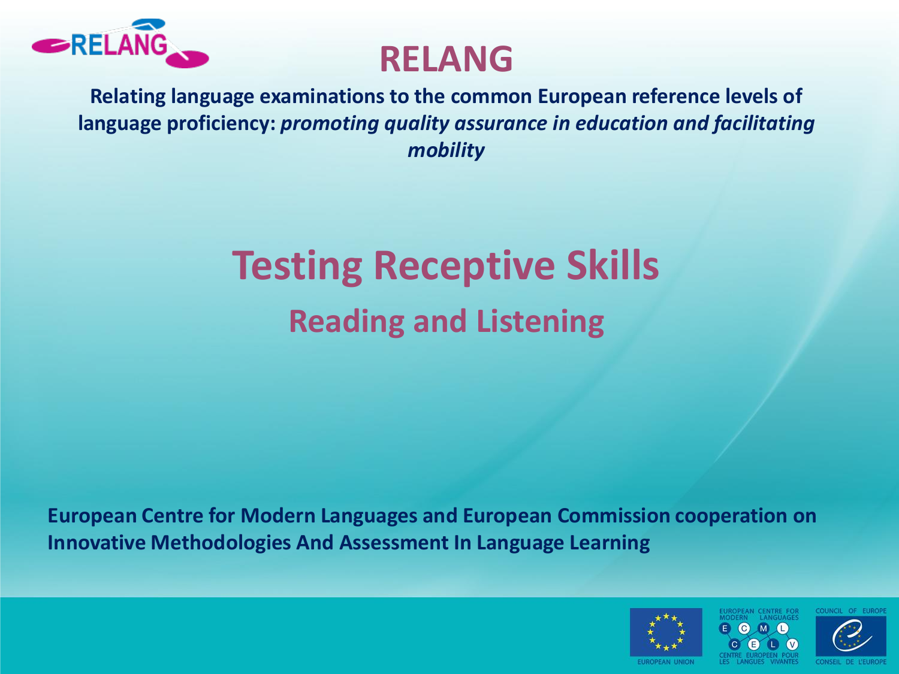

### **RELANG**

**Relating language examinations to the common European reference levels of language proficiency:** *promoting quality assurance in education and facilitating mobility*

# **Testing Receptive Skills Reading and Listening**

**European Centre for Modern Languages and European Commission cooperation on Innovative Methodologies And Assessment In Language Learning** 



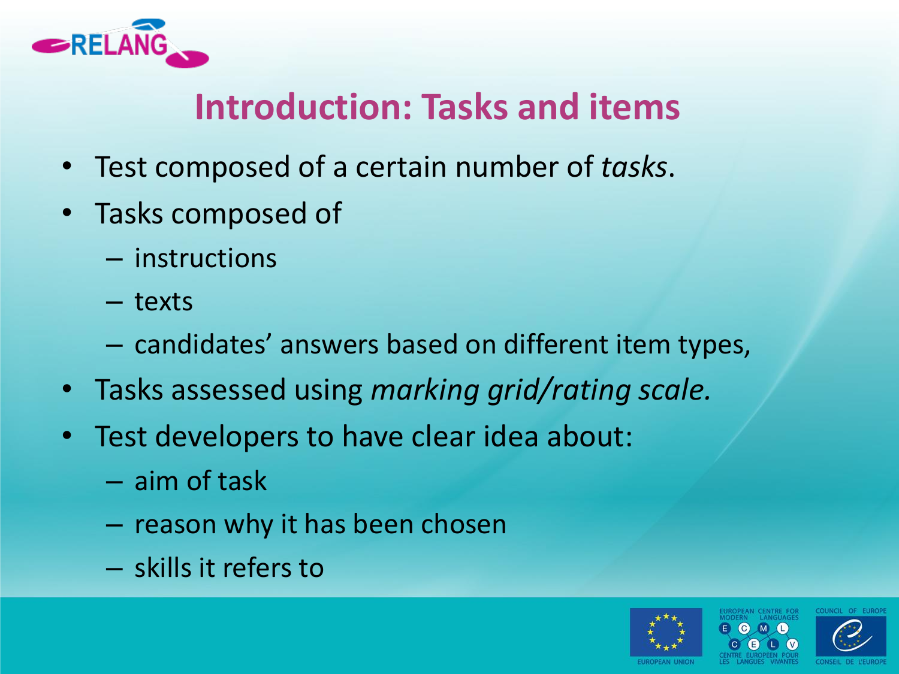

### **Introduction: Tasks and items**

- Test composed of a certain number of *tasks*.
- Tasks composed of
	- instructions
	- texts
	- candidates' answers based on different item types,
- Tasks assessed using *marking grid/rating scale.*
- Test developers to have clear idea about:
	- aim of task
	- reason why it has been chosen
	- skills it refers to

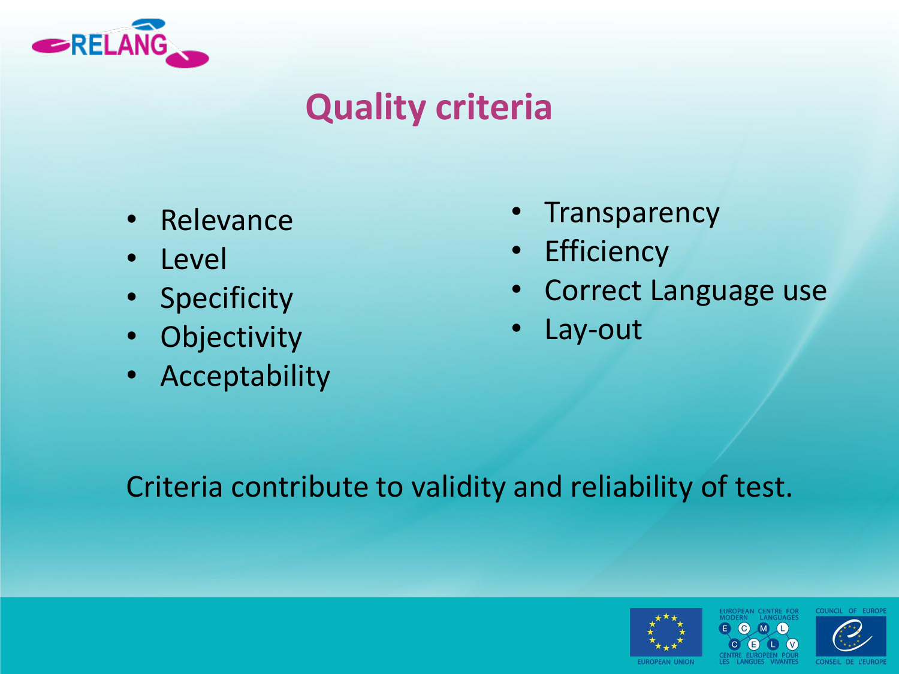

### **Quality criteria**

- **Relevance**
- Level
- Specificity
- Objectivity
- Acceptability
- **Transparency**
- Efficiency
- Correct Language use
- Lay-out

Criteria contribute to validity and reliability of test.



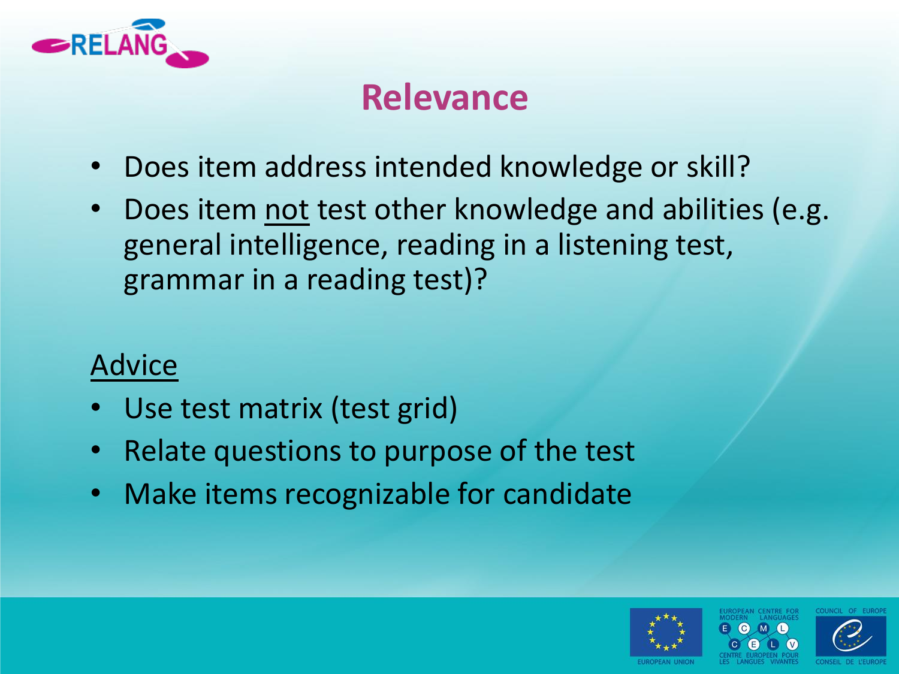

### **Relevance**

- Does item address intended knowledge or skill?
- Does item not test other knowledge and abilities (e.g. general intelligence, reading in a listening test, grammar in a reading test)?

- Use test matrix (test grid)
- Relate questions to purpose of the test
- Make items recognizable for candidate



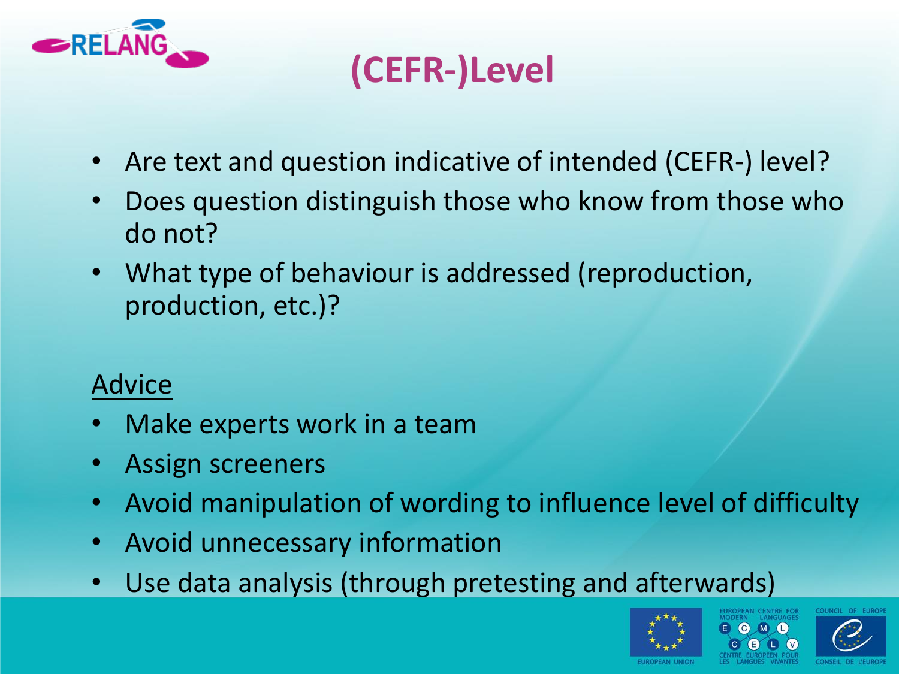

# **(CEFR-)Level**

- Are text and question indicative of intended (CEFR-) level?
- Does question distinguish those who know from those who do not?
- What type of behaviour is addressed (reproduction, production, etc.)?

- Make experts work in a team
- Assign screeners
- Avoid manipulation of wording to influence level of difficulty
- Avoid unnecessary information
- Use data analysis (through pretesting and afterwards)



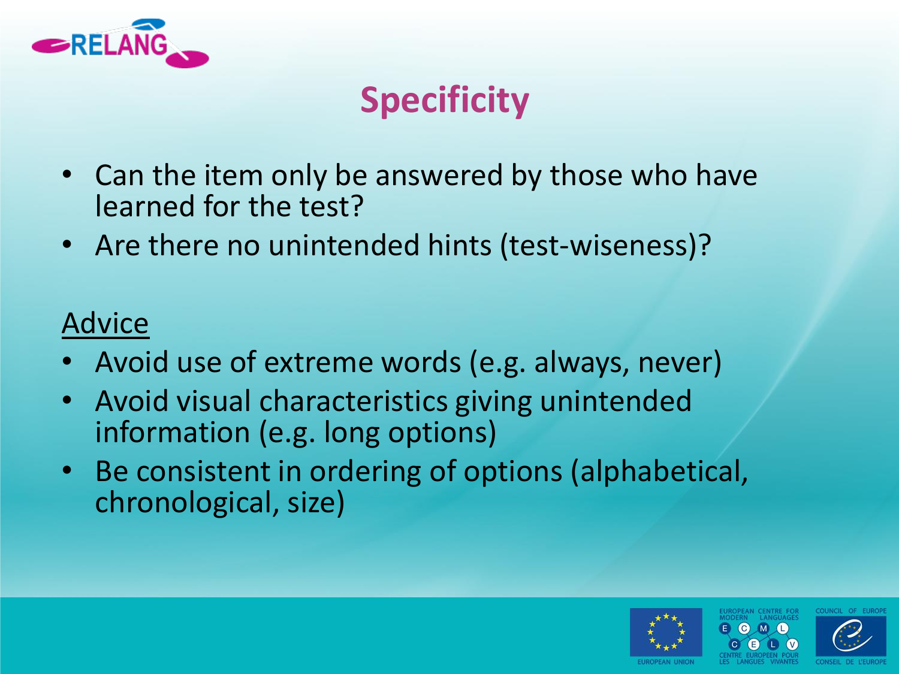

# **Specificity**

- Can the item only be answered by those who have learned for the test?
- Are there no unintended hints (test-wiseness)?

- Avoid use of extreme words (e.g. always, never)
- Avoid visual characteristics giving unintended information (e.g. long options)
- Be consistent in ordering of options (alphabetical, chronological, size)

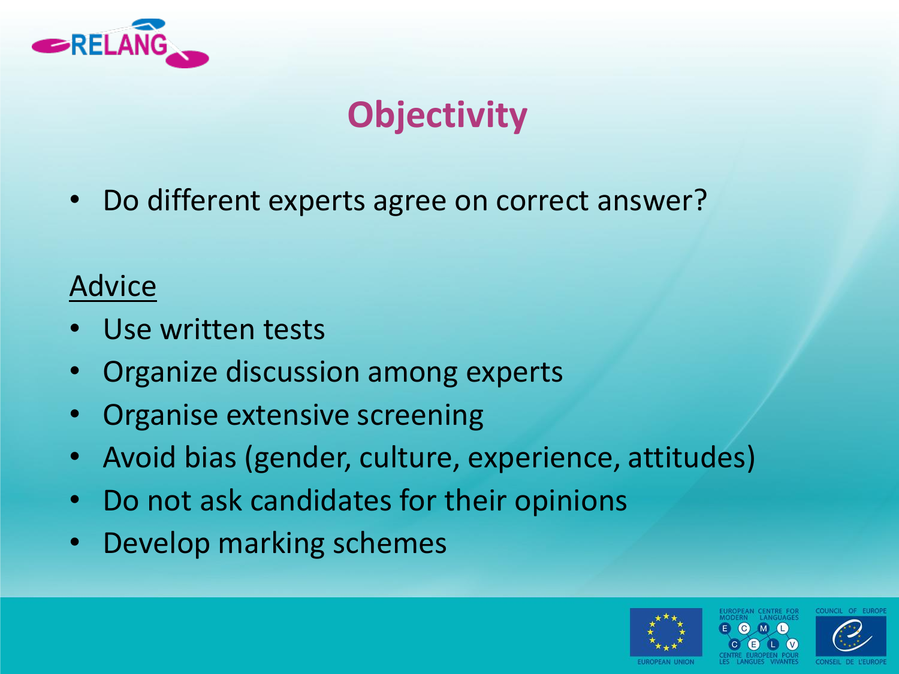

# **Objectivity**

• Do different experts agree on correct answer?

- Use written tests
- Organize discussion among experts
- Organise extensive screening
- Avoid bias (gender, culture, experience, attitudes)
- Do not ask candidates for their opinions
- Develop marking schemes



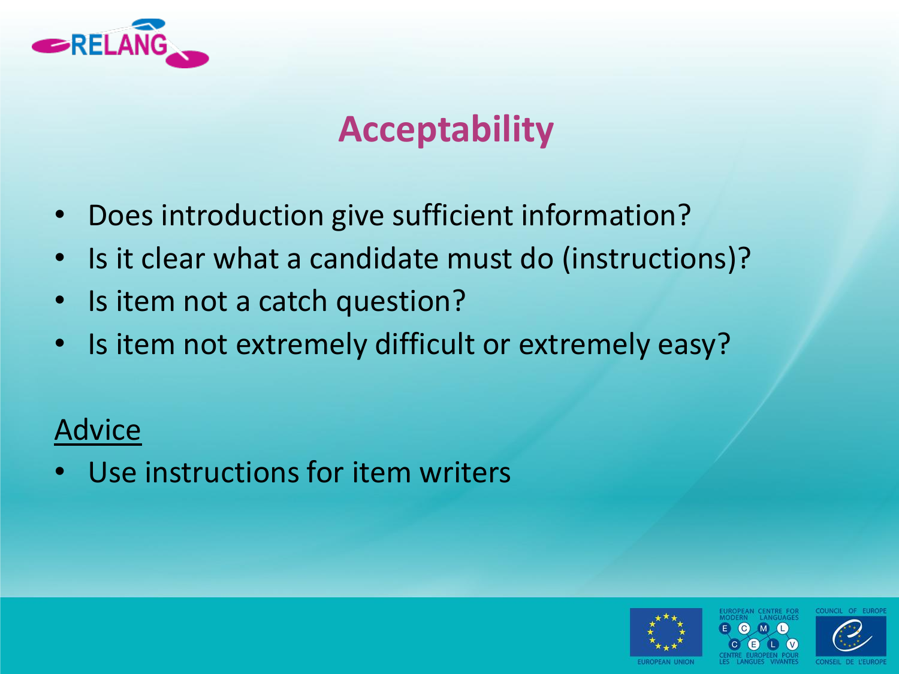

### **Acceptability**

- Does introduction give sufficient information?
- Is it clear what a candidate must do (instructions)?
- Is item not a catch question?
- Is item not extremely difficult or extremely easy?

### Advice

Use instructions for item writers



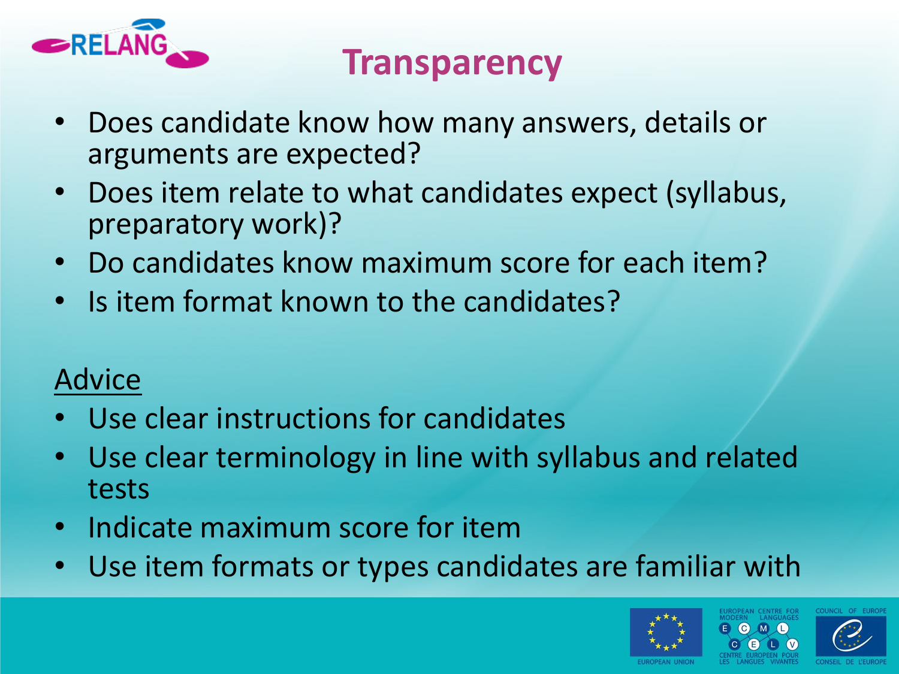

### **Transparency**

- Does candidate know how many answers, details or arguments are expected?
- Does item relate to what candidates expect (syllabus, preparatory work)?
- Do candidates know maximum score for each item?
- Is item format known to the candidates?

- Use clear instructions for candidates
- Use clear terminology in line with syllabus and related tests
- Indicate maximum score for item
- Use item formats or types candidates are familiar with



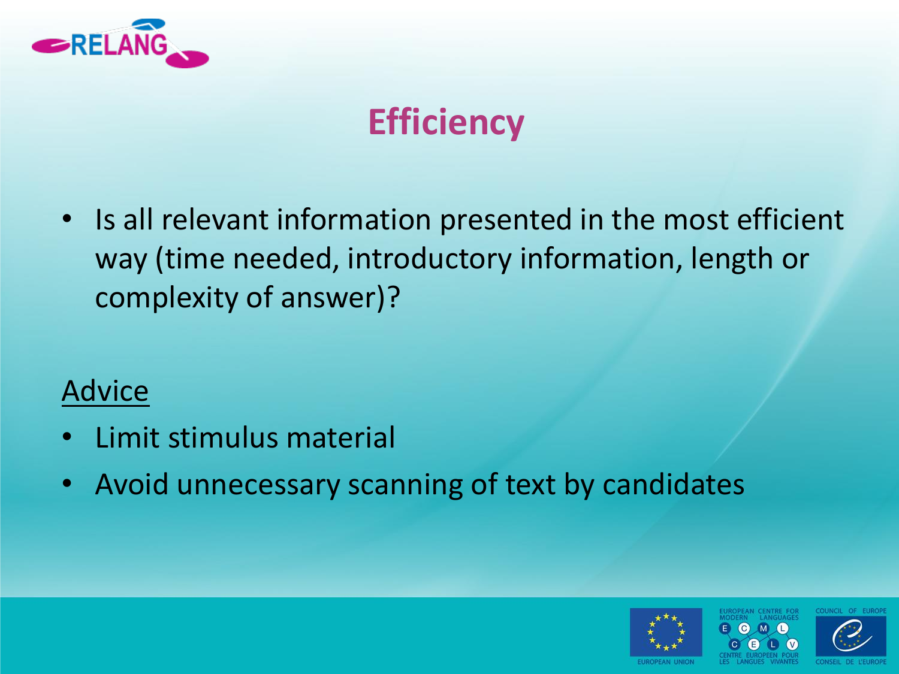

# **Efficiency**

• Is all relevant information presented in the most efficient way (time needed, introductory information, length or complexity of answer)?

- Limit stimulus material
- Avoid unnecessary scanning of text by candidates



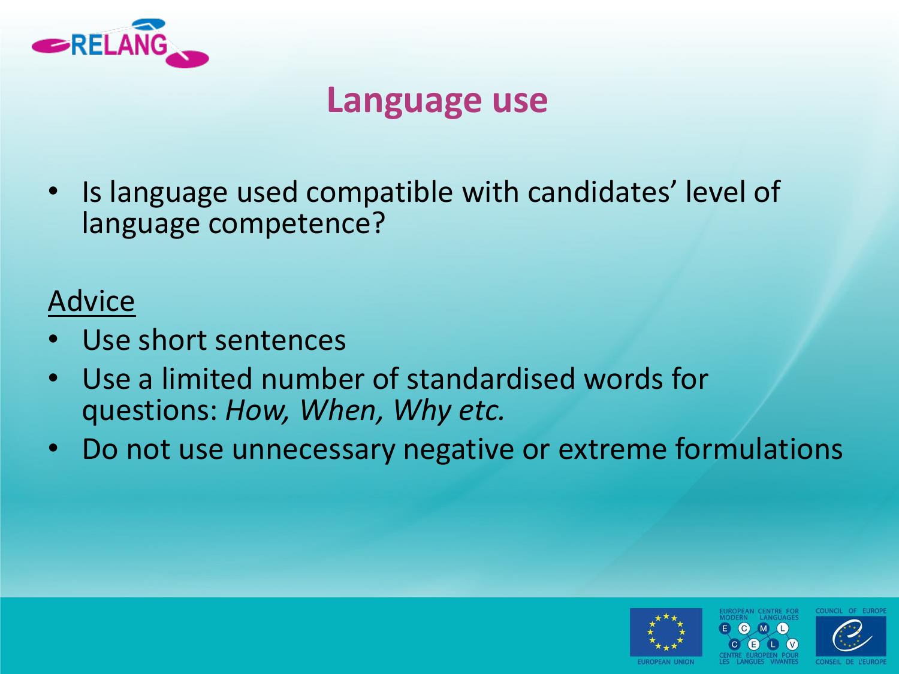

### **Language use**

• Is language used compatible with candidates' level of language competence?

- Use short sentences
- Use a limited number of standardised words for questions: *How, When, Why etc.*
- Do not use unnecessary negative or extreme formulations



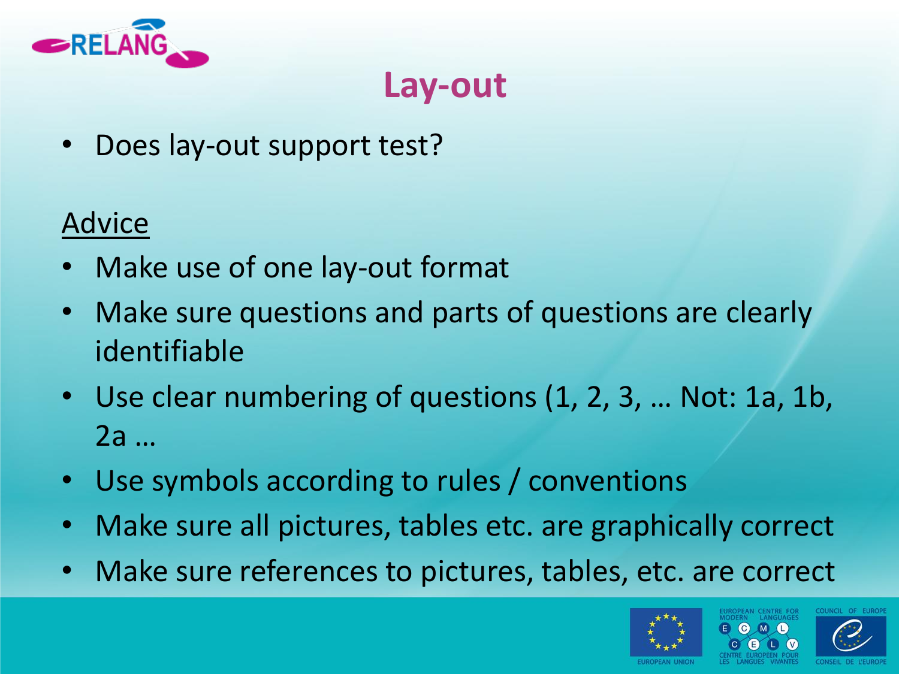

### **Lay-out**

Does lay-out support test?

- Make use of one lay-out format
- Make sure questions and parts of questions are clearly identifiable
- Use clear numbering of questions (1, 2, 3, … Not: 1a, 1b, 2a …
- Use symbols according to rules / conventions
- Make sure all pictures, tables etc. are graphically correct
- Make sure references to pictures, tables, etc. are correct



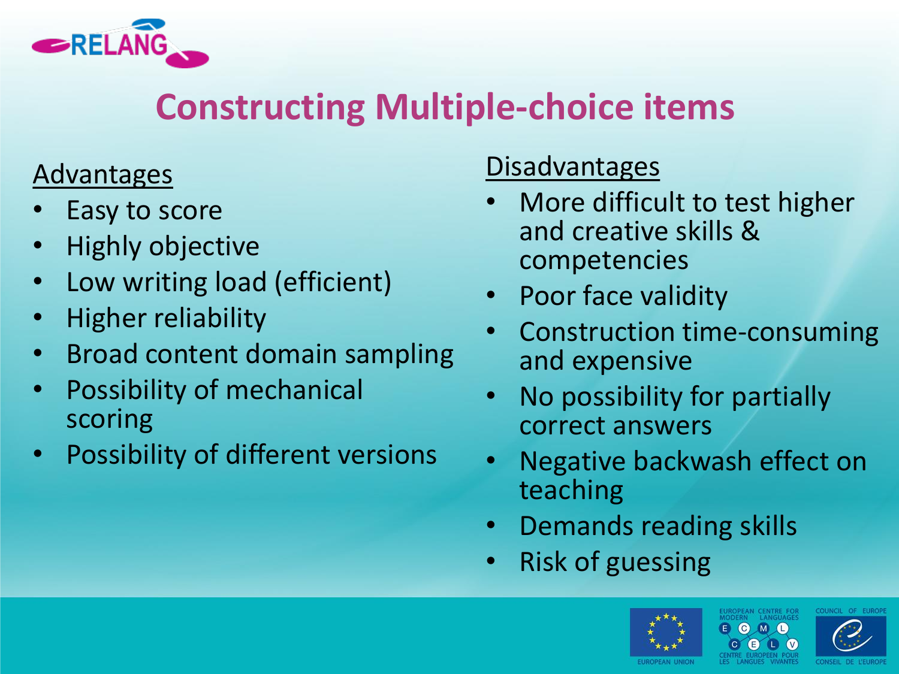

### **Constructing Multiple-choice items**

#### **Advantages**

- Easy to score
- Highly objective
- Low writing load (efficient)
- Higher reliability
- Broad content domain sampling
- Possibility of mechanical scoring
- Possibility of different versions

#### **Disadvantages**

- More difficult to test higher and creative skills & competencies
- Poor face validity
- Construction time-consuming and expensive
- No possibility for partially correct answers
- Negative backwash effect on teaching
- Demands reading skills
- Risk of guessing



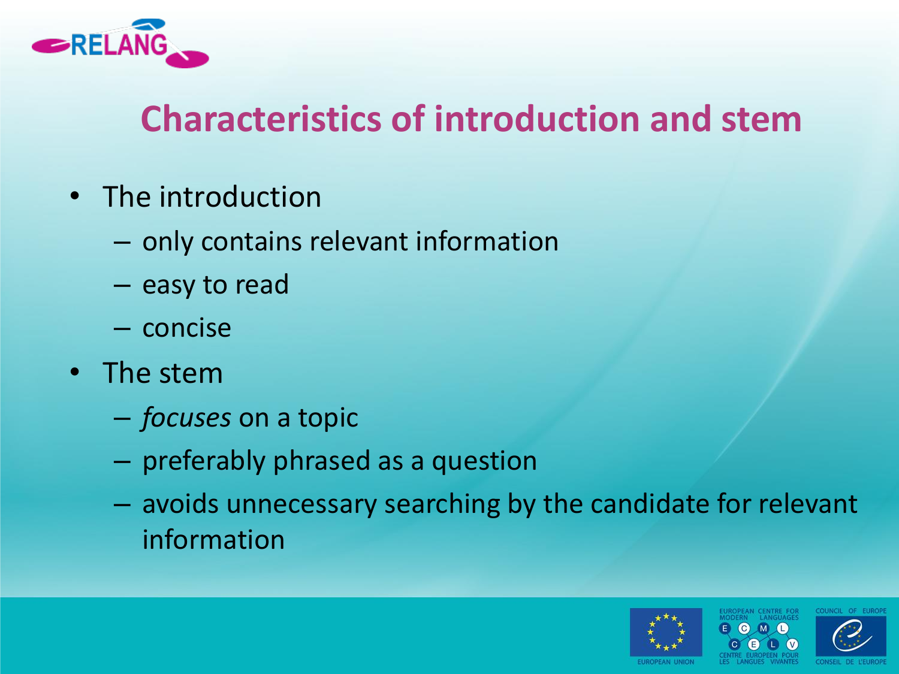

### **Characteristics of introduction and stem**

- The introduction
	- only contains relevant information
	- easy to read
	- concise
- The stem
	- *focuses* on a topic
	- preferably phrased as a question
	- avoids unnecessary searching by the candidate for relevant information



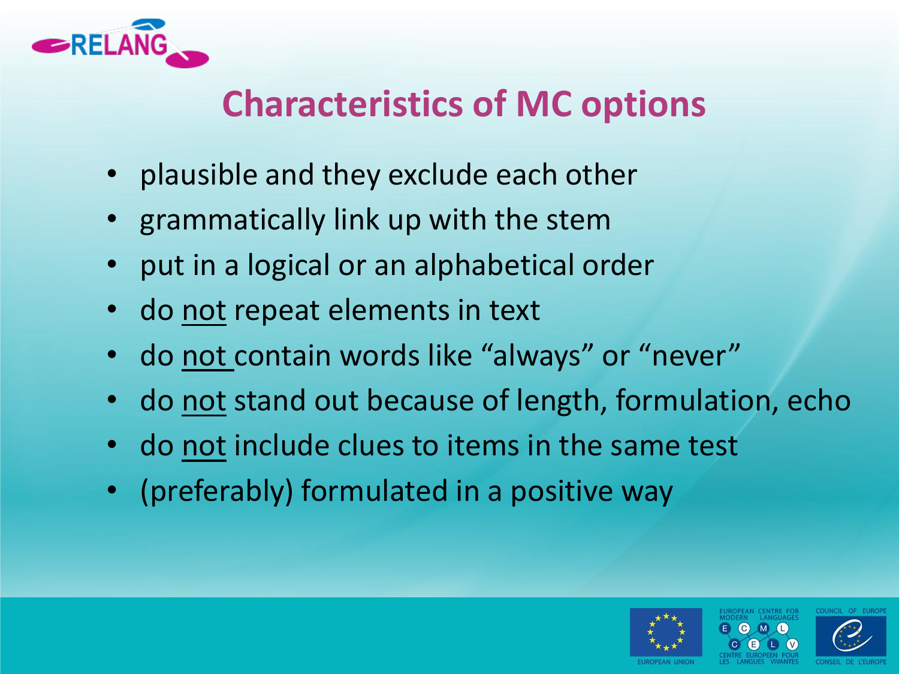

## **Characteristics of MC options**

- plausible and they exclude each other
- grammatically link up with the stem
- put in a logical or an alphabetical order
- do not repeat elements in text
- do not contain words like "always" or "never"
- do not stand out because of length, formulation, echo
- do not include clues to items in the same test
- (preferably) formulated in a positive way



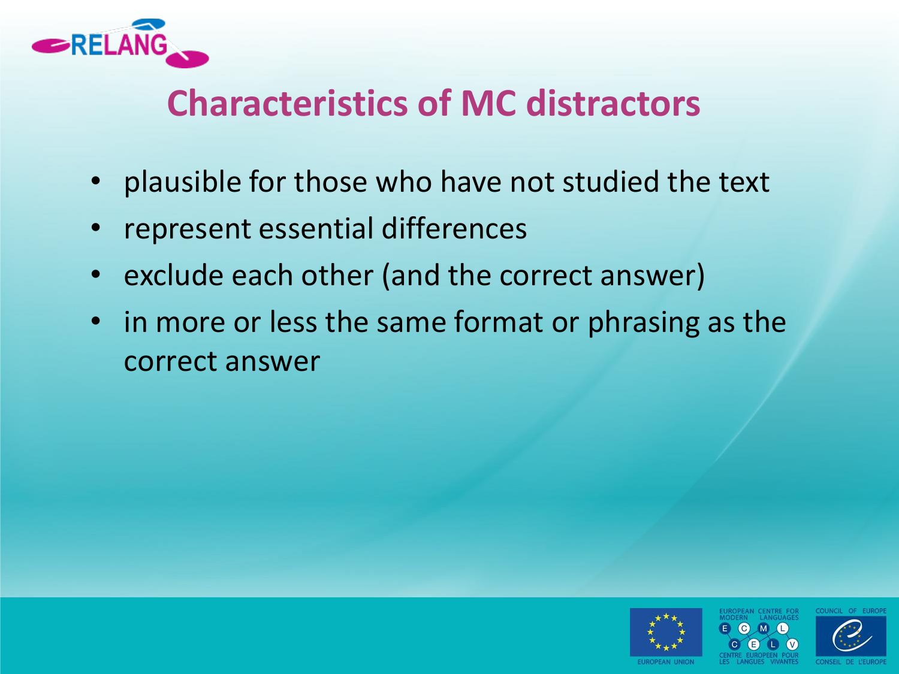

### **Characteristics of MC distractors**

- plausible for those who have not studied the text
- represent essential differences
- exclude each other (and the correct answer)
- in more or less the same format or phrasing as the correct answer





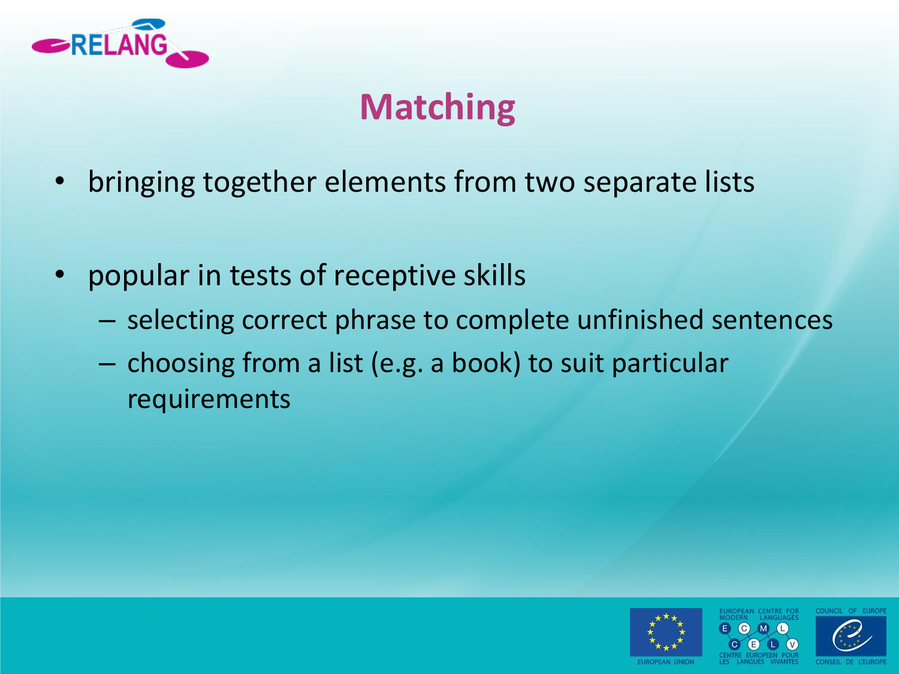

# **Matching**

- bringing together elements from two separate lists
- popular in tests of receptive skills
	- selecting correct phrase to complete unfinished sentences
	- choosing from a list (e.g. a book) to suit particular requirements

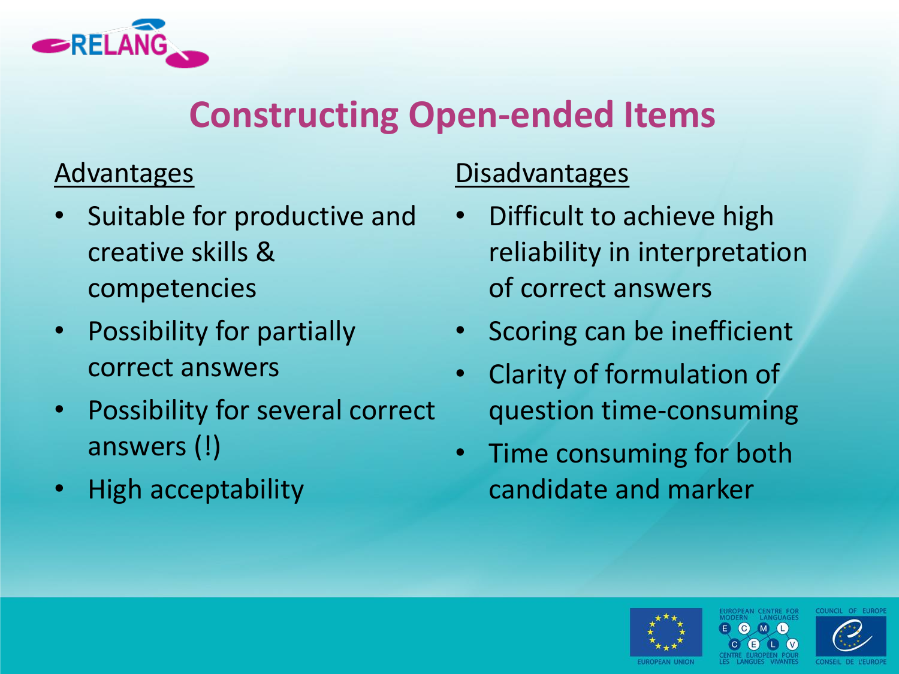

### **Constructing Open-ended Items**

#### **Advantages**

- Suitable for productive and creative skills & competencies
- Possibility for partially correct answers
- Possibility for several correct answers (!)
- High acceptability

#### **Disadvantages**

- Difficult to achieve high reliability in interpretation of correct answers
- Scoring can be inefficient
- Clarity of formulation of question time-consuming
- Time consuming for both candidate and marker



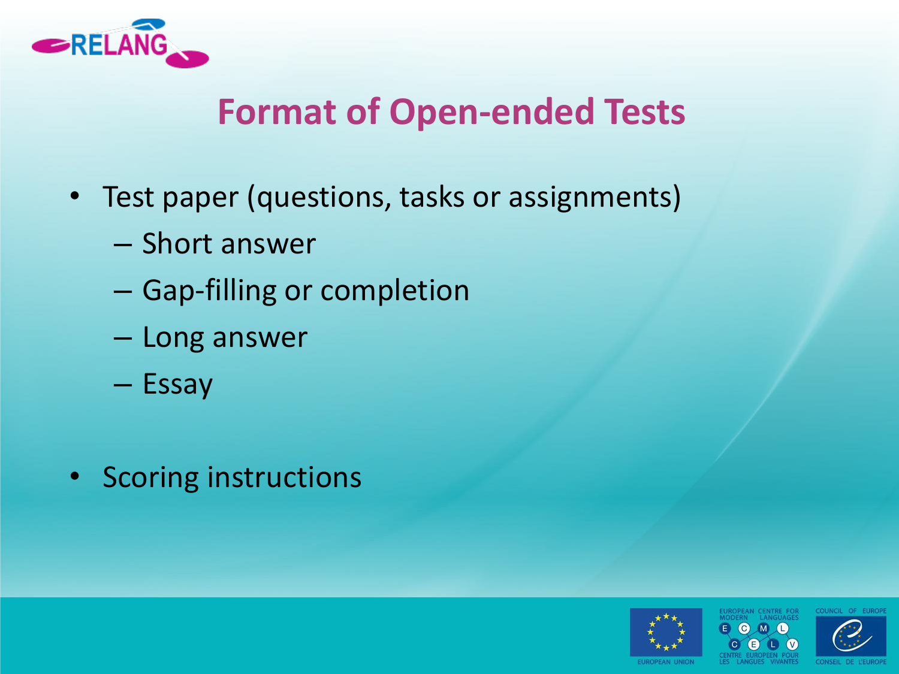

### **Format of Open-ended Tests**

- Test paper (questions, tasks or assignments)
	- Short answer
	- Gap-filling or completion
	- Long answer
	- Essay
- Scoring instructions